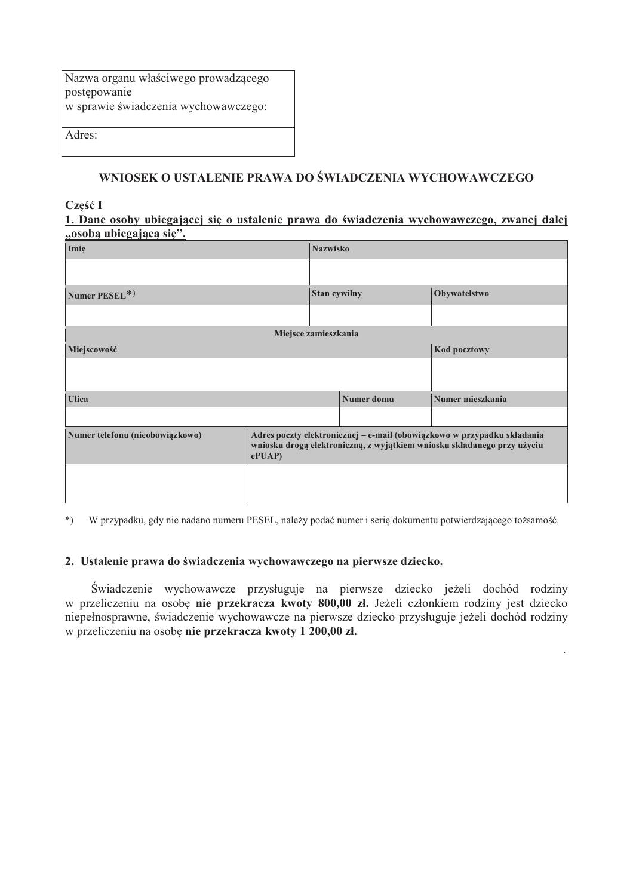| Nazwa organu właściwego prowadzącego |
|--------------------------------------|
| postępowanie                         |
| w sprawie świadczenia wychowawczego: |
|                                      |
| Adres:                               |

### WNIOSEK O USTALENIE PRAWA DO ŚWIADCZENIA WYCHOWAWCZEGO

#### Część I

#### 1. Dane osoby ubiegającej się o ustalenie prawa do świadczenia wychowawczego, zwanej dalej ..osoba ubiegająca sie".

| Imie                            |                      | <b>Nazwisko</b>                                                                                                                                    |                   |                  |  |  |  |  |  |
|---------------------------------|----------------------|----------------------------------------------------------------------------------------------------------------------------------------------------|-------------------|------------------|--|--|--|--|--|
|                                 |                      |                                                                                                                                                    |                   |                  |  |  |  |  |  |
| Numer PESEL*)                   |                      | Stan cywilny                                                                                                                                       |                   | Obywatelstwo     |  |  |  |  |  |
|                                 |                      |                                                                                                                                                    |                   |                  |  |  |  |  |  |
|                                 | Miejsce zamieszkania |                                                                                                                                                    |                   |                  |  |  |  |  |  |
| Miejscowość                     |                      |                                                                                                                                                    |                   | Kod pocztowy     |  |  |  |  |  |
|                                 |                      |                                                                                                                                                    |                   |                  |  |  |  |  |  |
| <b>Ulica</b>                    |                      |                                                                                                                                                    | <b>Numer</b> domu | Numer mieszkania |  |  |  |  |  |
|                                 |                      |                                                                                                                                                    |                   |                  |  |  |  |  |  |
| Numer telefonu (nieobowiązkowo) | ePUAP                | Adres poczty elektronicznej – e-mail (obowiązkowo w przypadku składania<br>wniosku drogą elektroniczną, z wyjątkiem wniosku składanego przy użyciu |                   |                  |  |  |  |  |  |
|                                 |                      |                                                                                                                                                    |                   |                  |  |  |  |  |  |

\*) W przypadku, gdy nie nadano numeru PESEL, należy podać numer i serię dokumentu potwierdzającego tożsamość.

#### 2. Ustalenie prawa do świadczenia wychowawczego na pierwsze dziecko.

Świadczenie wychowawcze przysługuje na pierwsze dziecko jeżeli dochód rodziny w przeliczeniu na osobę nie przekracza kwoty 800,00 zł. Jeżeli członkiem rodziny jest dziecko niepełnosprawne, świadczenie wychowawcze na pierwsze dziecko przysługuje jeżeli dochód rodziny w przeliczeniu na osobę nie przekracza kwoty 1 200,00 zł.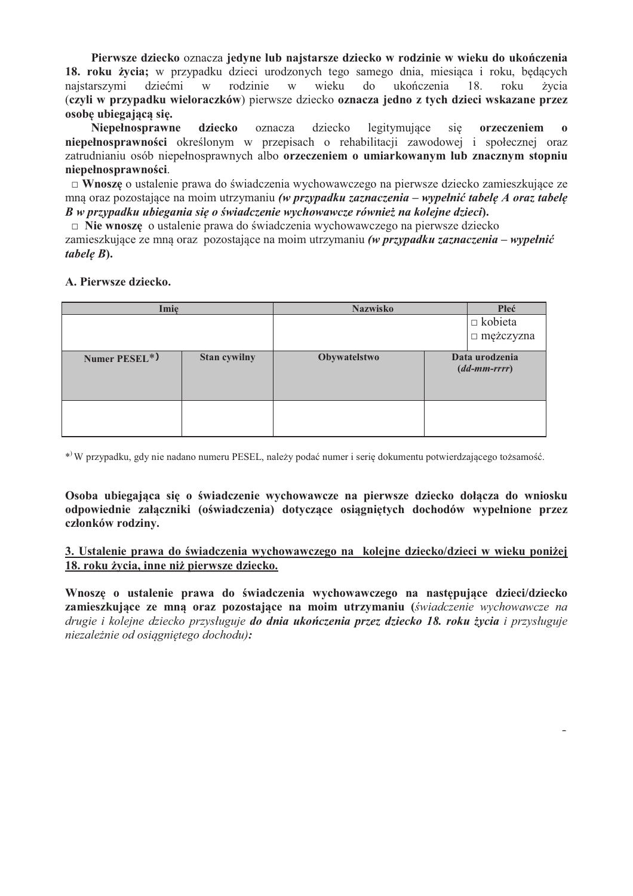Pierwsze dziecko oznacza jedyne lub najstarsze dziecko w rodzinie w wieku do ukończenia 18. roku życia; w przypadku dzieci urodzonych tego samego dnia, miesiąca i roku, będących dziećmi najstarszymi  $\ensuremath{\text{W}}$ rodzinie  $W$ wieku do ukończenia 18. roku życia (czyli w przypadku wieloraczków) pierwsze dziecko oznacza jedno z tych dzieci wskazane przez osobe ubiegajaca się.

Niepełnosprawne dziecko oznacza dziecko legitymujace orzeczeniem sie niepełnosprawności określonym w przepisach o rehabilitacji zawodowej i społecznej oraz zatrudnianiu osób niepełnosprawnych albo orzeczeniem o umiarkowanym lub znacznym stopniu niepełnosprawności.

□ Wnoszę o ustalenie prawa do świadczenia wychowawczego na pierwsze dziecko zamieszkujące ze mną oraz pozostające na moim utrzymaniu (w przypadku zaznaczenia – wypełnić tabelę A oraz tabelę B w przypadku ubiegania się o świadczenie wychowawcze również na kolejne dzieci).

□ Nie wnoszę o ustalenie prawa do świadczenia wychowawczego na pierwsze dziecko

zamieszkujące ze mną oraz pozostające na moim utrzymaniu (w przypadku zaznaczenia – wypełnić  $table B$ ).

#### A. Pierwsze dziecko.

| Imię          |              | <b>Nazwisko</b> | Płeć                             |
|---------------|--------------|-----------------|----------------------------------|
|               |              |                 | $\Box$ kobieta<br>□ mężczyzna    |
| Numer PESEL*) | Stan cywilny | Obywatelstwo    | Data urodzenia<br>$(dd-mm-rrrr)$ |
|               |              |                 |                                  |

\*) W przypadku, gdy nie nadano numeru PESEL, należy podać numer i serię dokumentu potwierdzającego tożsamość.

Osoba ubiegająca się o świadczenie wychowawcze na pierwsze dziecko dołacza do wniosku odpowiednie załączniki (oświadczenia) dotyczące osiągniętych dochodów wypełnione przez członków rodziny.

#### 3. Ustalenie prawa do świadczenia wychowawczego na kolejne dziecko/dzieci w wieku poniżej 18. roku życia, inne niż pierwsze dziecko.

Wnoszę o ustalenie prawa do świadczenia wychowawczego na następujące dzieci/dziecko zamieszkujące ze mną oraz pozostające na moim utrzymaniu (świadczenie wychowawcze na drugie i kolejne dziecko przysługuje do dnia ukończenia przez dziecko 18. roku życia i przysługuje niezależnie od osiagnietego dochodu):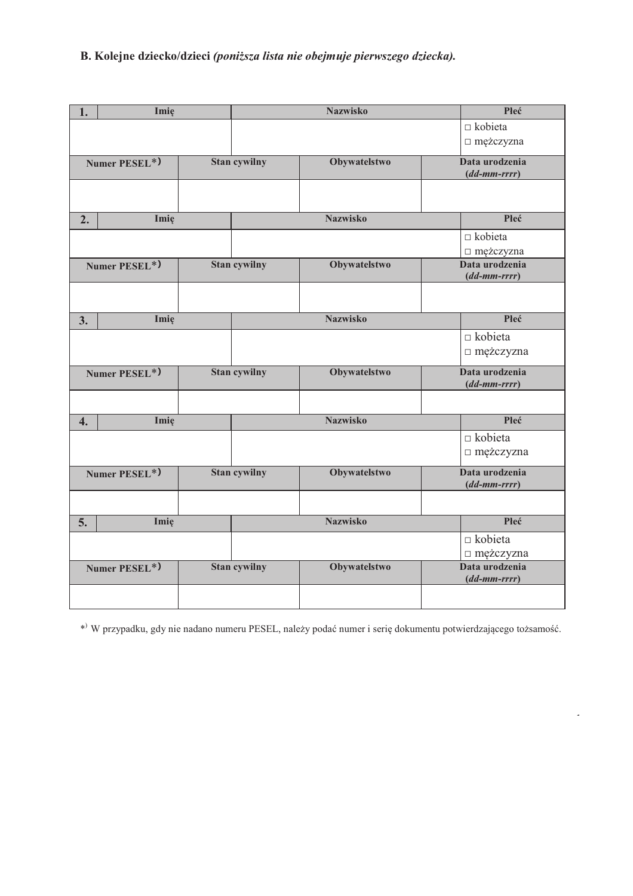# B. Kolejne dziecko/dzieci (poniższa lista nie obejmuje pierwszego dziecka).

| 1.               | Imię          |                     | <b>Nazwisko</b> | Płeć                                           |
|------------------|---------------|---------------------|-----------------|------------------------------------------------|
|                  |               |                     |                 | $\Box$ kobieta                                 |
|                  |               |                     |                 | □ mężczyzna                                    |
|                  | Numer PESEL*) | <b>Stan cywilny</b> | Obywatelstwo    | Data urodzenia                                 |
|                  |               |                     |                 | $(dd\text{-}mm\text{-}rrrr)$                   |
|                  |               |                     |                 |                                                |
| 2.               | Imię          |                     | <b>Nazwisko</b> | Płeć                                           |
|                  |               |                     |                 | $\Box$ kobieta                                 |
|                  |               |                     |                 | □ mężczyzna                                    |
|                  | Numer PESEL*) | <b>Stan cywilny</b> | Obywatelstwo    | Data urodzenia<br>$(dd\text{-}mm\text{-}rrrr)$ |
|                  |               |                     |                 |                                                |
| 3.               | Imię          |                     | <b>Nazwisko</b> | Płeć                                           |
|                  |               |                     |                 | $\Box$ kobieta                                 |
|                  |               |                     |                 | □ mężczyzna                                    |
|                  | Numer PESEL*) | <b>Stan cywilny</b> | Obywatelstwo    | Data urodzenia<br>$(dd\text{-}mm\text{-}rrrr)$ |
|                  |               |                     |                 |                                                |
| $\overline{4}$ . | Imię          |                     | <b>Nazwisko</b> | Płeć                                           |
|                  |               |                     |                 | $\Box$ kobieta                                 |
|                  |               |                     |                 | □ mężczyzna                                    |
|                  | Numer PESEL*) | <b>Stan cywilny</b> | Obywatelstwo    | Data urodzenia<br>$(dd\text{-}mm\text{-}rrrr)$ |
|                  |               |                     |                 |                                                |
| 5.               | Imię          |                     | <b>Nazwisko</b> | Płeć                                           |
|                  |               |                     |                 | $\Box$ kobieta                                 |
|                  |               |                     |                 | □ mężczyzna                                    |
|                  | Numer PESEL*) | <b>Stan cywilny</b> | Obywatelstwo    | Data urodzenia                                 |
|                  |               |                     |                 | $(dd-mm-rrrr)$                                 |
|                  |               |                     |                 |                                                |

\*) W przypadku, gdy nie nadano numeru PESEL, należy podać numer i serię dokumentu potwierdzającego tożsamość.

 $\overline{\phantom{a}}$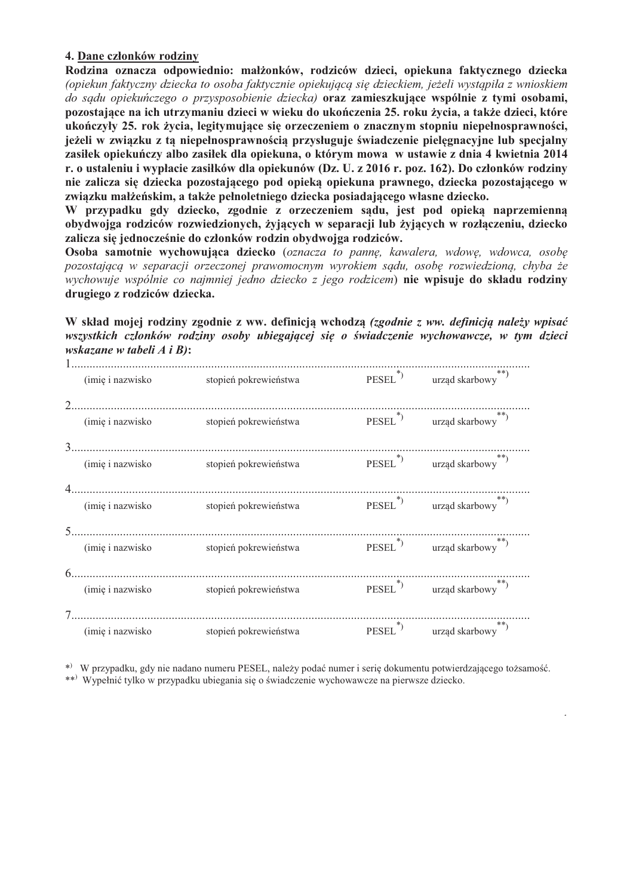### 4. Dane członków rodziny

Rodzina oznacza odpowiednio: małżonków, rodziców dzieci, opiekuna faktycznego dziecka (opiekun faktyczny dziecka to osoba faktycznie opiekującą się dzieckiem, jeżeli wystąpiła z wnioskiem do sądu opiekuńczego o przysposobienie dziecka) oraz zamieszkujące wspólnie z tymi osobami, pozostające na ich utrzymaniu dzieci w wieku do ukończenia 25. roku życia, a także dzieci, które ukończyły 25. rok życia, legitymujące się orzeczeniem o znacznym stopniu niepełnosprawności, jeżeli w związku z ta niepełnosprawnością przysługuje świadczenie pielegnacyjne lub specjalny zasiłek opiekuńczy albo zasiłek dla opiekuna, o którym mowa w ustawie z dnia 4 kwietnia 2014 r. o ustaleniu i wypłacie zasiłków dla opiekunów (Dz. U. z 2016 r. poz. 162). Do członków rodziny nie zalicza się dziecka pozostającego pod opieką opiekuna prawnego, dziecka pozostającego w zwiazku małżeńskim, a także pełnoletniego dziecka posiadającego własne dziecko.

W przypadku gdy dziecko, zgodnie z orzeczeniem sądu, jest pod opieką naprzemienną obydwojga rodziców rozwiedzionych, żyjących w separacji lub żyjących w rozłączeniu, dziecko zalicza się jednocześnie do członków rodzin obydwojga rodziców.

Osoba samotnie wychowująca dziecko (oznacza to pannę, kawalera, wdowę, wdowca, osobę pozostającą w separacji orzeczonej prawomocnym wyrokiem sądu, osobę rozwiedzioną, chyba że wychowuje wspólnie co najmniej jedno dziecko z jego rodzicem) nie wpisuje do składu rodziny drugiego z rodziców dziecka.

W skład mojej rodziny zgodnie z ww. definicia wchodza *(zgodnie z ww. definicia należy wpisać* wszystkich członków rodziny osoby ubiegającej się o świadczenie wychowawcze, w tym dzieci wskazane w tabeli  $A$  i  $B$ ):

| (imię i nazwisko  | stopień pokrewieństwa | $PESEL^*$           | $\leftarrow ^{**}$ urząd skarbowy                          |
|-------------------|-----------------------|---------------------|------------------------------------------------------------|
|                   |                       |                     |                                                            |
| (imię i nazwisko  | stopień pokrewieństwa |                     | $\mbox{PESEL}^{*})$ $\qquad$ urząd $\mbox{skarbowy}^{**})$ |
|                   |                       |                     |                                                            |
| (imię i nazwisko) | stopień pokrewieństwa |                     | $PESEL^{(*)}$ urząd skarbowy <sup>**</sup> )               |
|                   |                       |                     |                                                            |
| (imię i nazwisko  | stopień pokrewieństwa |                     | PESEL <sup>*</sup> ) urząd skarbowy <sup>**</sup> )        |
|                   |                       |                     |                                                            |
| (imię i nazwisko  | stopień pokrewieństwa |                     | $PESEL^{(*)}$ urząd skarbowy <sup>**</sup> )               |
|                   |                       |                     |                                                            |
| (imię i nazwisko  | stopień pokrewieństwa |                     | $PESEL^*$ urząd skarbowy                                   |
|                   |                       |                     |                                                            |
|                   |                       | PESEL <sup>*)</sup> | urząd skarbowy**)                                          |
| (imię i nazwisko  | stopień pokrewieństwa |                     |                                                            |

\*) W przypadku, gdy nie nadano numeru PESEL, należy podać numer i serię dokumentu potwierdzającego tożsamość. \*\*) Wypełnić tylko w przypadku ubiegania się o świadczenie wychowawcze na pierwsze dziecko.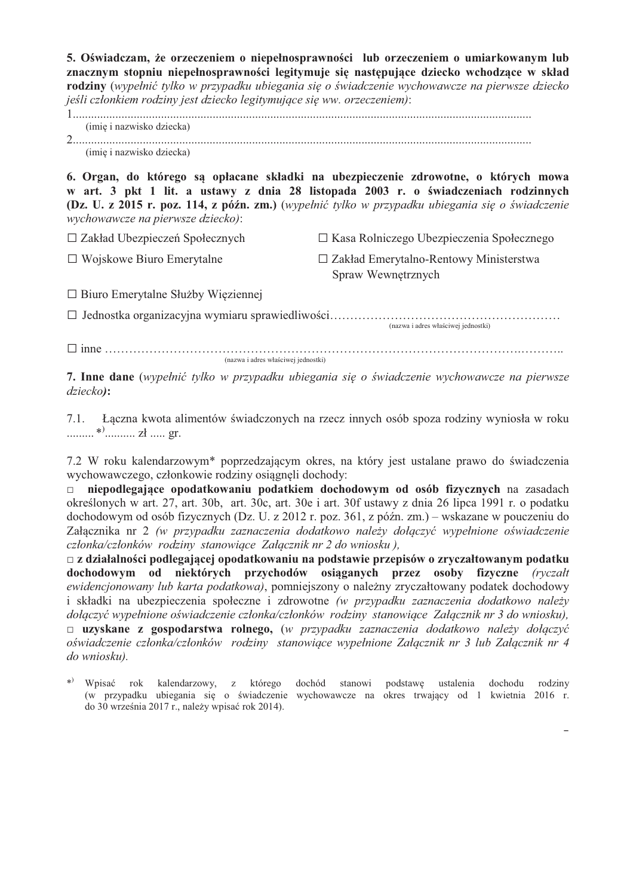5. Oświadczam, że orzeczeniem o niepełnosprawności lub orzeczeniem o umiarkowanym lub znacznym stopniu niepełnosprawności legitymuje się następujące dziecko wchodzące w skład rodziny (wypełnić tylko w przypadku ubiegania się o świadczenie wychowawcze na pierwsze dziecko jeśli członkiem rodziny jest dziecko legitymujące się ww. orzeczeniem):

(imię i nazwisko dziecka) (imię i nazwisko dziecka)

6. Organ, do którego są opłacane składki na ubezpieczenie zdrowotne, o których mowa w art. 3 pkt 1 lit. a ustawy z dnia 28 listopada 2003 r. o świadczeniach rodzinnych (Dz. U. z 2015 r. poz. 114, z późn. zm.) (wypełnić tylko w przypadku ubiegania się o świadczenie wychowawcze na pierwsze dziecko):

 $\Box$  Zakład Ubezpieczeń Społecznych □ Kasa Rolniczego Ubezpieczenia Społecznego  $\Box$  Wojskowe Biuro Emerytalne  $\Box$  Zakład Emerytalno-Rentowy Ministerstwa Spraw Wewnetrznych

 $\Box$  Biuro Emerytalne Służby Więziennej

(nazwa i adres właściwej jednostki)

(nazwa i adres właściwej jednostki)

7. Inne dane (wypełnić tylko w przypadku ubiegania się o świadczenie wychowawcze na pierwsze  $dziecko$ :

7.1. Łączna kwota alimentów świadczonych na rzecz innych osób spoza rodziny wyniosła w roku 

7.2 W roku kalendarzowym<sup>\*</sup> poprzedzającym okres, na który jest ustalane prawo do świadczenia wychowawczego, członkowie rodziny osiągneli dochody:

niepodlegające opodatkowaniu podatkiem dochodowym od osób fizycznych na zasadach  $\Box$ określonych w art. 27, art. 30b, art. 30c, art. 30e i art. 30f ustawy z dnia 26 lipca 1991 r. o podatku dochodowym od osób fizycznych (Dz. U. z 2012 r. poz. 361, z późn. zm.) – wskazane w pouczeniu do Załacznika nr 2 (w przypadku zaznaczenia dodatkowo należy dołaczyć wypełnione oświadczenie członka/członków rodziny stanowiące Załącznik nr 2 do wniosku).

 $\Box$  z działalności podlegającej opodatkowaniu na podstawie przepisów o zryczałtowanym podatku dochodowym od niektórych przychodów osiąganych przez osoby fizyczne (ryczałt ewidencjonowany lub karta podatkowa), pomniejszony o należny zryczałtowany podatek dochodowy i składki na ubezpieczenia społeczne i zdrowotne (w przypadku zaznaczenia dodatkowo należy dołączyć wypełnione oświadczenie członka/członków rodziny stanowiące Załącznik nr 3 do wniosku).  $\Box$  uzyskane z gospodarstwa rolnego, (w przypadku zaznaczenia dodatkowo należy dołączyć oświadczenie członka/członków rodziny stanowiące wypełnione Załącznik nr 3 lub Załącznik nr 4 do wniosku).

\*) Wpisać rok kalendarzowy, z którego dochód stanowi podstawę ustalenia dochodu rodziny (w przypadku ubiegania się o świadczenie wychowawcze na okres trwający od 1 kwietnia 2016 r. do 30 września 2017 r., należy wpisać rok 2014).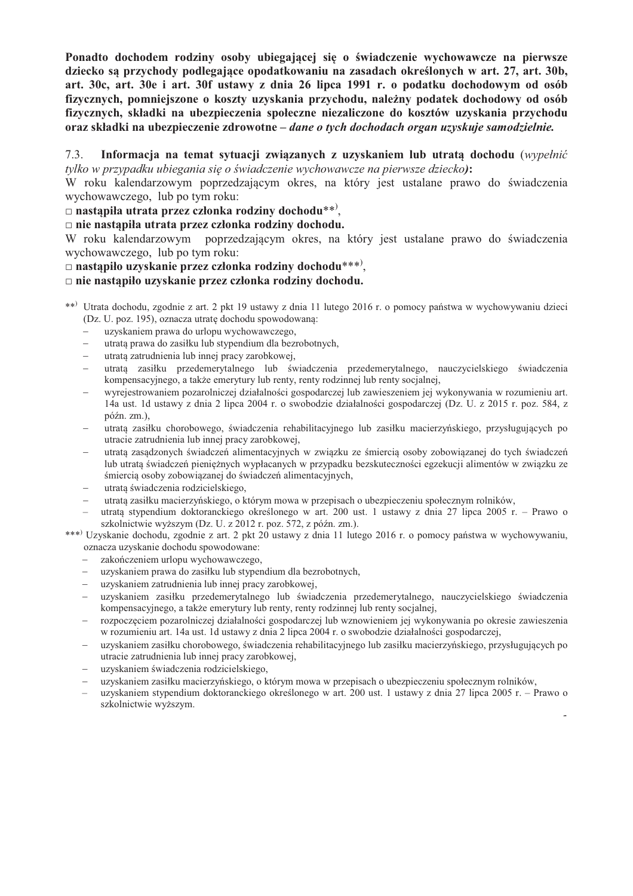Ponadto dochodem rodziny osoby ubiegającej się o świadczenie wychowawcze na pierwsze dziecko sa przychody podlegające opodatkowaniu na zasadach określonych w art. 27, art. 30b, art. 30c, art. 30e i art. 30f ustawy z dnia 26 lipca 1991 r. o podatku dochodowym od osób fizycznych, pomniejszone o koszty uzyskania przychodu, należny podatek dochodowy od osób fizycznych, składki na ubezpieczenia społeczne niezaliczone do kosztów uzyskania przychodu oraz składki na ubezpieczenie zdrowotne - dane o tych dochodach organ uzyskuje samodzielnie.

#### $7.3.$ Informacja na temat sytuacji zwiazanych z uzyskaniem lub utrata dochodu (wypełnić tylko w przypadku ubiegania się o świadczenie wychowawcze na pierwsze dziecko):

W roku kalendarzowym poprzedzającym okres, na który jest ustalane prawo do świadczenia wychowawczego. lub po tym roku:

#### $\Box$  nastapiła utrata przez członka rodziny dochodu\*\*).

 $\Box$  nie nastąpiła utrata przez członka rodziny dochodu.

W roku kalendarzowym poprzedzającym okres, na który jest ustalane prawo do świadczenia wychowawczego. lub po tym roku:

### $\Box$  nastapiło uzyskanie przez członka rodziny dochodu\*\*\*).

#### $\Box$  nie nastapiło uzyskanie przez członka rodziny dochodu.

- \*\*) Utrata dochodu, zgodnie z art. 2 pkt 19 ustawy z dnia 11 lutego 2016 r. o pomocy państwa w wychowywaniu dzieci (Dz. U. poz. 195), oznacza utratę dochodu spowodowaną:
	- uzyskaniem prawa do urlopu wychowawczego,
	- utratą prawa do zasiłku lub stypendium dla bezrobotnych,  $\equiv$
	- utrata zatrudnienia lub innei pracy zarobkowej.  $\equiv$
	- utrata zasiłku przedemerytalnego lub świadczenia przedemerytalnego, nauczycielskiego świadczenia kompensacyjnego, a także emerytury lub renty, renty rodzinnej lub renty socjalnej,
	- wyrejestrowaniem pozarolniczej działalności gospodarczej lub zawieszeniem jej wykonywania w rozumieniu art. 14a ust. 1d ustawy z dnia 2 lipca 2004 r. o swobodzie działalności gospodarczej (Dz. U. z 2015 r. poz. 584, z  $p\acute{o}zn. zm.).$
	- utrata zasiłku chorobowego, świadczenia rehabilitacyjnego lub zasiłku macierzyńskiego, przysługujących po utracie zatrudnienia lub innei pracy zarobkowei.
	- utratą zasądzonych świadczeń alimentacyjnych w związku ze śmiercią osoby zobowiązanej do tych świadczeń lub utratą świadczeń pieniężnych wypłacanych w przypadku bezskuteczności egzekucji alimentów w związku ze śmiercią osoby zobowiązanej do świadczeń alimentacyjnych,
	- utratą świadczenia rodzicielskiego,
	- utratą zasiłku macierzyńskiego, o którym mowa w przepisach o ubezpieczeniu społecznym rolników,
	- utrata stypendium doktoranckiego określonego w art. 200 ust. 1 ustawy z dnia 27 lipca 2005 r. Prawo o szkolnictwie wyższym (Dz. U. z 2012 r. poz. 572, z późn. zm.).

\*\*\*) Uzyskanie dochodu, zgodnie z art. 2 pkt 20 ustawy z dnia 11 lutego 2016 r. o pomocy państwa w wychowywaniu, oznacza uzyskanie dochodu spowodowane:

- zakończeniem urlopu wychowawczego,
- uzyskaniem prawa do zasiłku lub stypendium dla bezrobotnych,
- uzyskaniem zatrudnienia lub innej pracy zarobkowej,
- uzyskaniem zasiłku przedemerytalnego lub świadczenia przedemerytalnego, nauczycielskiego świadczenia kompensacyjnego, a także emerytury lub renty, renty rodzinnej lub renty socjalnej,
- rozpoczęciem pozarolniczej działalności gospodarczej lub wznowieniem jej wykonywania po okresie zawieszenia w rozumieniu art. 14a ust. 1d ustawy z dnia 2 lipca 2004 r. o swobodzie działalności gospodarczej,
- uzyskaniem zasiłku chorobowego, świadczenia rehabilitacyjnego lub zasiłku macierzyńskiego, przysługujących po utracie zatrudnienia lub innej pracy zarobkowej,
- uzyskaniem świadczenia rodzicielskiego,
- uzyskaniem zasiłku macierzyńskiego, o którym mowa w przepisach o ubezpieczeniu społecznym rolników,
- uzyskaniem stypendium doktoranckiego określonego w art. 200 ust. 1 ustawy z dnia 27 lipca 2005 r. Prawo o szkolnictwie wyższym.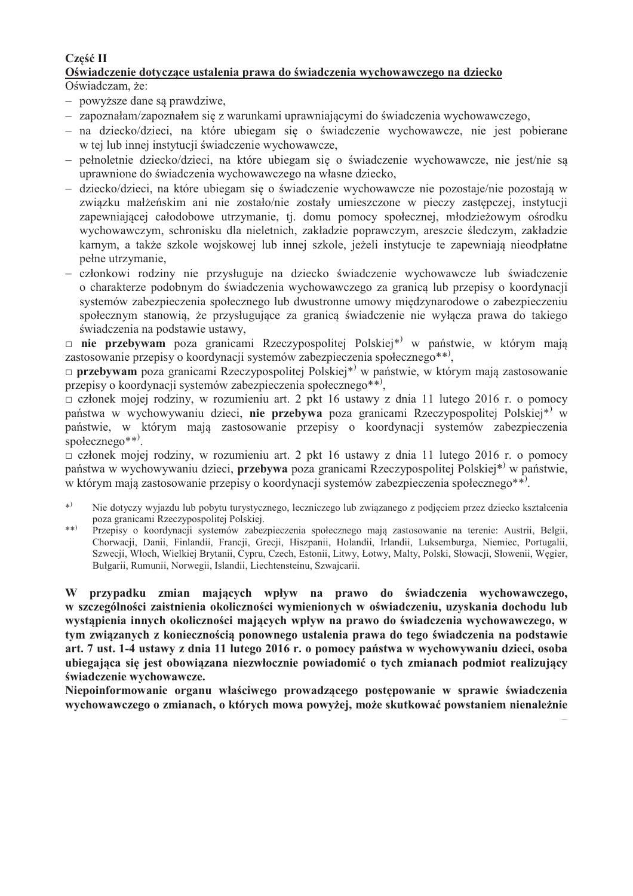## Cześć II

# Oświadczenie dotyczące ustalenia prawa do świadczenia wychowawczego na dziecko

Oświadczam, że:

- powyższe dane są prawdziwe,
- zapoznałam/zapoznałem się z warunkami uprawniającymi do świadczenia wychowawczego,
- na dziecko/dzieci, na które ubiegam sie o świadczenie wychowawcze, nie jest pobierane w tej lub innej instytucji świadczenie wychowawcze,
- pełnoletnie dziecko/dzieci, na które ubiegam się o świadczenie wychowawcze, nie jest/nie sa uprawnione do świadczenia wychowawczego na własne dziecko,
- dziecko/dzieci, na które ubiegam się o świadczenie wychowawcze nie pozostaje/nie pozostają w związku małżeńskim ani nie zostało/nie zostały umieszczone w pieczy zastępczej, instytucji zapewniającej całodobowe utrzymanie, tj. domu pomocy społecznej, młodzieżowym ośrodku wychowawczym, schronisku dla nieletnich, zakładzie poprawczym, areszcie śledczym, zakładzie karnym, a także szkole wojskowej lub innej szkole, jeżeli instytucje te zapewniają nieodpłatne pełne utrzymanie,
- członkowi rodziny nie przysługuje na dziecko świadczenie wychowawcze lub świadczenie o charakterze podobnym do świadczenia wychowawczego za granicą lub przepisy o koordynacji systemów zabezpieczenia społecznego lub dwustronne umowy międzynarodowe o zabezpieczeniu społecznym stanowią, że przysługujące za granicą świadczenie nie wyłącza prawa do takiego świadczenia na podstawie ustawy,

 $\Box$  nie przebywam poza granicami Rzeczypospolitej Polskiej\*<sup>)</sup> w państwie, w którym mają zastosowanie przepisy o koordynacji systemów zabezpieczenia społecznego\*\*),

□ przebywam poza granicami Rzeczypospolitej Polskiej\*<sup>)</sup> w państwie, w którym mają zastosowanie przepisy o koordynacji systemów zabezpieczenia społecznego\*\*),

 $\Box$  członek mojej rodziny, w rozumieniu art. 2 pkt 16 ustawy z dnia 11 lutego 2016 r. o pomocy państwa w wychowywaniu dzieci, nie przebywa poza granicami Rzeczypospolitej Polskiej<sup>\*</sup> w państwie, w którym mają zastosowanie przepisy o koordynacji systemów zabezpieczenia społecznego $**$ ).

 $\Box$  członek mojej rodziny, w rozumieniu art. 2 pkt 16 ustawy z dnia 11 lutego 2016 r. o pomocy państwa w wychowywaniu dzieci, przebywa poza granicami Rzeczypospolitej Polskiej\*<sup>)</sup> w państwie, w którym mają zastosowanie przepisy o koordynacji systemów zabezpieczenia społecznego\*\*).

- $*)$ Nie dotyczy wyjazdu lub pobytu turystycznego, leczniczego lub zwiazanego z podjęciem przez dziecko kształcenia poza granicami Rzeczypospolitej Polskiej.
- $*$ Przepisy o koordynacji systemów zabezpieczenia społecznego mają zastosowanie na terenie: Austrii, Belgii, Chorwacji, Danii, Finlandii, Francji, Grecji, Hiszpanii, Holandii, Irlandii, Luksemburga, Niemiec, Portugalii, Szwecji, Włoch, Wielkiej Brytanii, Cypru, Czech, Estonii, Litwy, Łotwy, Malty, Polski, Słowacji, Słowenii, Węgier, Bułgarii, Rumunii, Norwegii, Islandii, Liechtensteinu, Szwajcarii.

W przypadku zmian mających wpływ na prawo do świadczenia wychowawczego, w szczególności zaistnienia okoliczności wymienionych w oświadczeniu, uzyskania dochodu lub wystąpienia innych okoliczności mających wpływ na prawo do świadczenia wychowawczego, w tym związanych z koniecznością ponownego ustalenia prawa do tego świadczenia na podstawie art. 7 ust. 1-4 ustawy z dnia 11 lutego 2016 r. o pomocy państwa w wychowywaniu dzieci, osoba ubiegająca się jest obowiązana niezwłocznie powiadomić o tych zmianach podmiot realizujący świadczenie wychowawcze.

Niepoinformowanie organu właściwego prowadzącego postępowanie w sprawie świadczenia wychowawczego o zmianach, o których mowa powyżej, może skutkować powstaniem nienależnie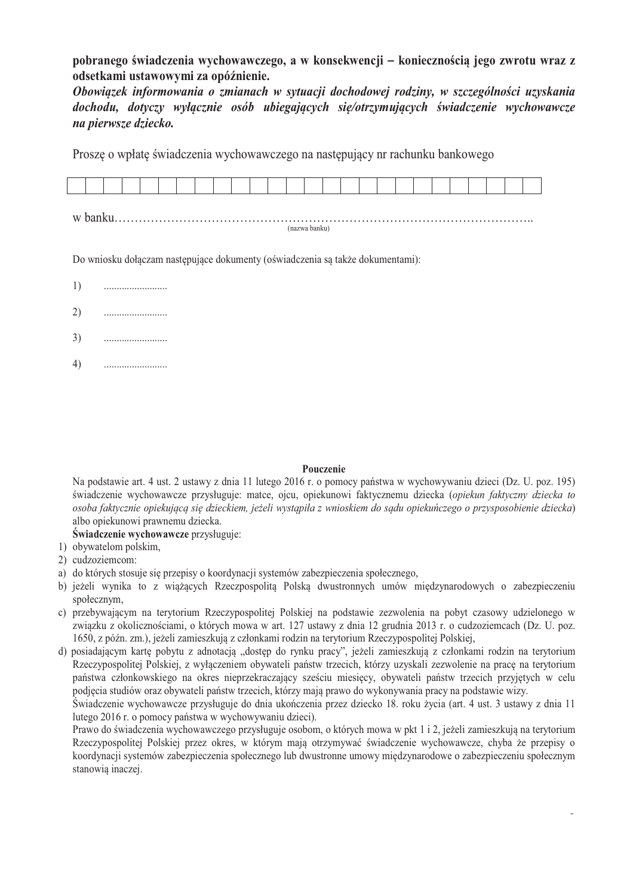### pobranego świadczenia wychowawczego, a w konsekwencji – koniecznością jego zwrotu wraz z odsetkami ustawowymi za opóźnienie.

Obowiązek informowania o zmianach w sytuacji dochodowej rodziny, w szczególności uzyskania dochodu, dotyczy wyłącznie osób ubiegających się/otrzymujących świadczenie wychowawcze na pierwsze dziecko.

Proszę o wpłatę świadczenia wychowawczego na następujący nr rachunku bankowego

| W |  |  |  |  |  |  |  |  |  |  |  |  |  |  |  |  |  |  |
|---|--|--|--|--|--|--|--|--|--|--|--|--|--|--|--|--|--|--|

(nazwa banku)

Do wniosku dołaczam następujące dokumenty (oświadczenia są także dokumentami):

- 1)
- $2)$
- $3)$
- $4)$

#### Pouczenie

Na podstawie art. 4 ust. 2 ustawy z dnia 11 lutego 2016 r. o pomocy państwa w wychowywaniu dzieci (Dz. U. poz. 195) świadczenie wychowawcze przysługuje: matce, ojcu, opiekunowi faktycznemu dziecka (opiekun faktyczny dziecka to osoba faktycznie opiekująca sie dzieckiem, jeżeli wystąpiła z wnioskiem do sądu opiekuńczego o przysposobienie dziecka) albo opiekunowi prawnemu dziecka.

### Świadczenie wychowawcze przysługuje:

- 1) obywatelom polskim,
- 2) cudzoziemcom:
- a) do których stosuje się przepisy o koordynacji systemów zabezpieczenia społecznego,
- b) jeżeli wynika to z wiążących Rzeczpospolitą Polską dwustronnych umów międzynarodowych o zabezpieczeniu społecznym,
- c) przebywającym na terytorium Rzeczypospolitej Polskiej na podstawie zezwolenia na pobyt czasowy udzielonego w związku z okolicznościami, o których mowa w art. 127 ustawy z dnia 12 grudnia 2013 r. o cudzoziemcach (Dz. U. poz. 1650, z późn. zm.), jeżeli zamieszkuja z członkami rodzin na terytorium Rzeczypospolitej Polskiej.
- d) posiadającym kartę pobytu z adnotacją "dostęp do rynku pracy", jeżeli zamieszkują z członkami rodzin na terytorium Rzeczypospolitej Polskiej, z wyłączeniem obywateli państw trzecich, którzy uzyskali zezwolenie na pracę na terytorium państwa członkowskiego na okres nieprzekraczający sześciu miesięcy, obywateli państw trzecich przyjętych w celu podjęcia studiów oraz obywateli państw trzecich, którzy mają prawo do wykonywania pracy na podstawie wizy.

Świadczenie wychowawcze przysługuje do dnia ukończenia przez dziecko 18. roku życia (art. 4 ust. 3 ustawy z dnia 11 lutego 2016 r. o pomocy państwa w wychowywaniu dzieci).

Prawo do świadczenia wychowawczego przysługuje osobom, o których mowa w pkt 1 i 2, jeżeli zamieszkują na terytorium Rzeczypospolitej Polskiej przez okres, w którym mają otrzymywać świadczenie wychowawcze, chyba że przepisy o koordynacji systemów zabezpieczenia społecznego lub dwustronne umowy miedzynarodowe o zabezpieczeniu społecznym stanowią inaczej.